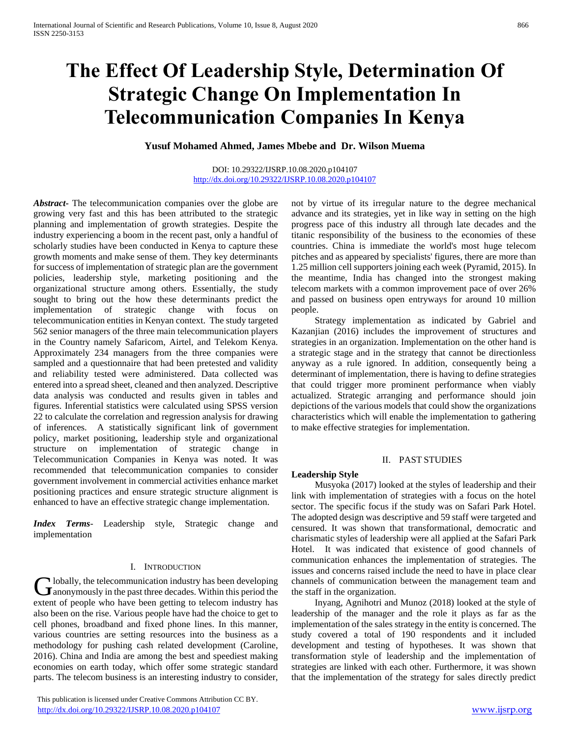# **The Effect Of Leadership Style, Determination Of Strategic Change On Implementation In Telecommunication Companies In Kenya**

**Yusuf Mohamed Ahmed, James Mbebe and Dr. Wilson Muema**

#### DOI: 10.29322/IJSRP.10.08.2020.p104107 <http://dx.doi.org/10.29322/IJSRP.10.08.2020.p104107>

*Abstract***-** The telecommunication companies over the globe are growing very fast and this has been attributed to the strategic planning and implementation of growth strategies. Despite the industry experiencing a boom in the recent past, only a handful of scholarly studies have been conducted in Kenya to capture these growth moments and make sense of them. They key determinants for success of implementation of strategic plan are the government policies, leadership style, marketing positioning and the organizational structure among others. Essentially, the study sought to bring out the how these determinants predict the implementation of strategic change with focus on telecommunication entities in Kenyan context. The study targeted 562 senior managers of the three main telecommunication players in the Country namely Safaricom, Airtel, and Telekom Kenya. Approximately 234 managers from the three companies were sampled and a questionnaire that had been pretested and validity and reliability tested were administered. Data collected was entered into a spread sheet, cleaned and then analyzed. Descriptive data analysis was conducted and results given in tables and figures. Inferential statistics were calculated using SPSS version 22 to calculate the correlation and regression analysis for drawing of inferences. A statistically significant link of government policy, market positioning, leadership style and organizational structure on implementation of strategic change in Telecommunication Companies in Kenya was noted. It was recommended that telecommunication companies to consider government involvement in commercial activities enhance market positioning practices and ensure strategic structure alignment is enhanced to have an effective strategic change implementation.

*Index Terms*- Leadership style, Strategic change and implementation

### I. INTRODUCTION

I lobally, the telecommunication industry has been developing Globally, the telecommunication industry has been developing<br>dianonymously in the past three decades. Within this period the extent of people who have been getting to telecom industry has also been on the rise. Various people have had the choice to get to cell phones, broadband and fixed phone lines. In this manner, various countries are setting resources into the business as a methodology for pushing cash related development (Caroline, 2016). China and India are among the best and speediest making economies on earth today, which offer some strategic standard parts. The telecom business is an interesting industry to consider,

 This publication is licensed under Creative Commons Attribution CC BY. <http://dx.doi.org/10.29322/IJSRP.10.08.2020.p104107> [www.ijsrp.org](http://ijsrp.org/)

not by virtue of its irregular nature to the degree mechanical advance and its strategies, yet in like way in setting on the high progress pace of this industry all through late decades and the titanic responsibility of the business to the economies of these countries. China is immediate the world's most huge telecom pitches and as appeared by specialists' figures, there are more than 1.25 million cell supporters joining each week (Pyramid, 2015). In the meantime, India has changed into the strongest making telecom markets with a common improvement pace of over 26% and passed on business open entryways for around 10 million people.

 Strategy implementation as indicated by Gabriel and Kazanjian (2016) includes the improvement of structures and strategies in an organization. Implementation on the other hand is a strategic stage and in the strategy that cannot be directionless anyway as a rule ignored. In addition, consequently being a determinant of implementation, there is having to define strategies that could trigger more prominent performance when viably actualized. Strategic arranging and performance should join depictions of the various models that could show the organizations characteristics which will enable the implementation to gathering to make effective strategies for implementation.

## II. PAST STUDIES

### **Leadership Style**

 Musyoka (2017) looked at the styles of leadership and their link with implementation of strategies with a focus on the hotel sector. The specific focus if the study was on Safari Park Hotel. The adopted design was descriptive and 59 staff were targeted and censured. It was shown that transformational, democratic and charismatic styles of leadership were all applied at the Safari Park Hotel. It was indicated that existence of good channels of communication enhances the implementation of strategies. The issues and concerns raised include the need to have in place clear channels of communication between the management team and the staff in the organization.

 Inyang, Agnihotri and Munoz (2018) looked at the style of leadership of the manager and the role it plays as far as the implementation of the sales strategy in the entity is concerned. The study covered a total of 190 respondents and it included development and testing of hypotheses. It was shown that transformation style of leadership and the implementation of strategies are linked with each other. Furthermore, it was shown that the implementation of the strategy for sales directly predict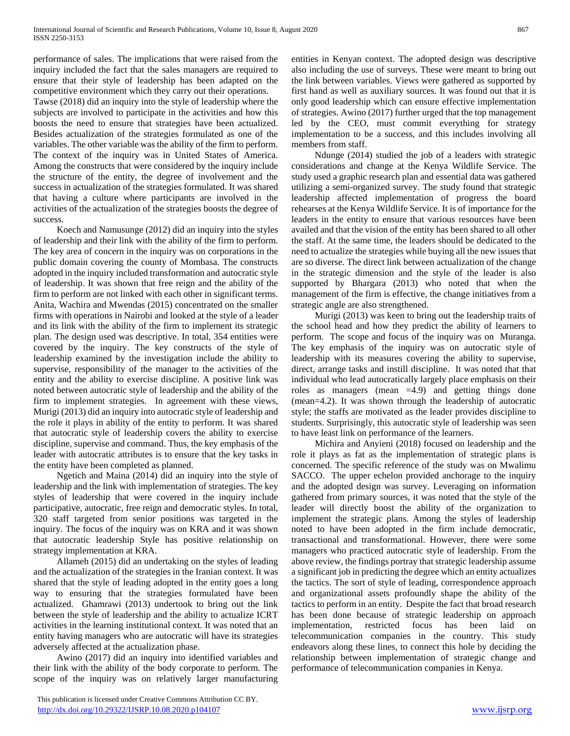performance of sales. The implications that were raised from the inquiry included the fact that the sales managers are required to ensure that their style of leadership has been adapted on the competitive environment which they carry out their operations.

Tawse (2018) did an inquiry into the style of leadership where the subjects are involved to participate in the activities and how this boosts the need to ensure that strategies have been actualized. Besides actualization of the strategies formulated as one of the variables. The other variable was the ability of the firm to perform. The context of the inquiry was in United States of America. Among the constructs that were considered by the inquiry include the structure of the entity, the degree of involvement and the success in actualization of the strategies formulated. It was shared that having a culture where participants are involved in the activities of the actualization of the strategies boosts the degree of success.

 Koech and Namusunge (2012) did an inquiry into the styles of leadership and their link with the ability of the firm to perform. The key area of concern in the inquiry was on corporations in the public domain covering the county of Mombasa. The constructs adopted in the inquiry included transformation and autocratic style of leadership. It was shown that free reign and the ability of the firm to perform are not linked with each other in significant terms. Anita, Wachira and Mwendas (2015) concentrated on the smaller firms with operations in Nairobi and looked at the style of a leader and its link with the ability of the firm to implement its strategic plan. The design used was descriptive. In total, 354 entities were covered by the inquiry. The key constructs of the style of leadership examined by the investigation include the ability to supervise, responsibility of the manager to the activities of the entity and the ability to exercise discipline. A positive link was noted between autocratic style of leadership and the ability of the firm to implement strategies. In agreement with these views, Murigi (2013) did an inquiry into autocratic style of leadership and the role it plays in ability of the entity to perform. It was shared that autocratic style of leadership covers the ability to exercise discipline, supervise and command. Thus, the key emphasis of the leader with autocratic attributes is to ensure that the key tasks in the entity have been completed as planned.

 Ngetich and Maina (2014) did an inquiry into the style of leadership and the link with implementation of strategies. The key styles of leadership that were covered in the inquiry include participative, autocratic, free reign and democratic styles. In total, 320 staff targeted from senior positions was targeted in the inquiry. The focus of the inquiry was on KRA and it was shown that autocratic leadership Style has positive relationship on strategy implementation at KRA.

 Allameh (2015) did an undertaking on the styles of leading and the actualization of the strategies in the Iranian context. It was shared that the style of leading adopted in the entity goes a long way to ensuring that the strategies formulated have been actualized. Ghamrawi (2013) undertook to bring out the link between the style of leadership and the ability to actualize ICRT activities in the learning institutional context. It was noted that an entity having managers who are autocratic will have its strategies adversely affected at the actualization phase.

 Awino (2017) did an inquiry into identified variables and their link with the ability of the body corporate to perform. The scope of the inquiry was on relatively larger manufacturing

entities in Kenyan context. The adopted design was descriptive also including the use of surveys. These were meant to bring out the link between variables. Views were gathered as supported by first hand as well as auxiliary sources. It was found out that it is only good leadership which can ensure effective implementation of strategies. Awino (2017) further urged that the top management led by the CEO, must commit everything for strategy implementation to be a success, and this includes involving all members from staff.

 Ndunge (2014) studied the job of a leaders with strategic considerations and change at the Kenya Wildlife Service. The study used a graphic research plan and essential data was gathered utilizing a semi-organized survey. The study found that strategic leadership affected implementation of progress the board rehearses at the Kenya Wildlife Service. It is of importance for the leaders in the entity to ensure that various resources have been availed and that the vision of the entity has been shared to all other the staff. At the same time, the leaders should be dedicated to the need to actualize the strategies while buying all the new issues that are so diverse. The direct link between actualization of the change in the strategic dimension and the style of the leader is also supported by Bhargara (2013) who noted that when the management of the firm is effective, the change initiatives from a strategic angle are also strengthened.

 Murigi (2013) was keen to bring out the leadership traits of the school head and how they predict the ability of learners to perform. The scope and focus of the inquiry was on Muranga. The key emphasis of the inquiry was on autocratic style of leadership with its measures covering the ability to supervise, direct, arrange tasks and instill discipline. It was noted that that individual who lead autocratically largely place emphasis on their roles as managers (mean =4.9) and getting things done (mean=4.2). It was shown through the leadership of autocratic style; the staffs are motivated as the leader provides discipline to students. Surprisingly, this autocratic style of leadership was seen to have least link on performance of the learners.

 Michira and Anyieni (2018) focused on leadership and the role it plays as fat as the implementation of strategic plans is concerned. The specific reference of the study was on Mwalimu SACCO. The upper echelon provided anchorage to the inquiry and the adopted design was survey. Leveraging on information gathered from primary sources, it was noted that the style of the leader will directly boost the ability of the organization to implement the strategic plans. Among the styles of leadership noted to have been adopted in the firm include democratic, transactional and transformational. However, there were some managers who practiced autocratic style of leadership. From the above review, the findings portray that strategic leadership assume a significant job in predicting the degree which an entity actualizes the tactics. The sort of style of leading, correspondence approach and organizational assets profoundly shape the ability of the tactics to perform in an entity. Despite the fact that broad research has been done because of strategic leadership on approach implementation, restricted focus has been laid on telecommunication companies in the country. This study endeavors along these lines, to connect this hole by deciding the relationship between implementation of strategic change and performance of telecommunication companies in Kenya.

This publication is licensed under Creative Commons Attribution CC BY. <http://dx.doi.org/10.29322/IJSRP.10.08.2020.p104107> [www.ijsrp.org](http://ijsrp.org/)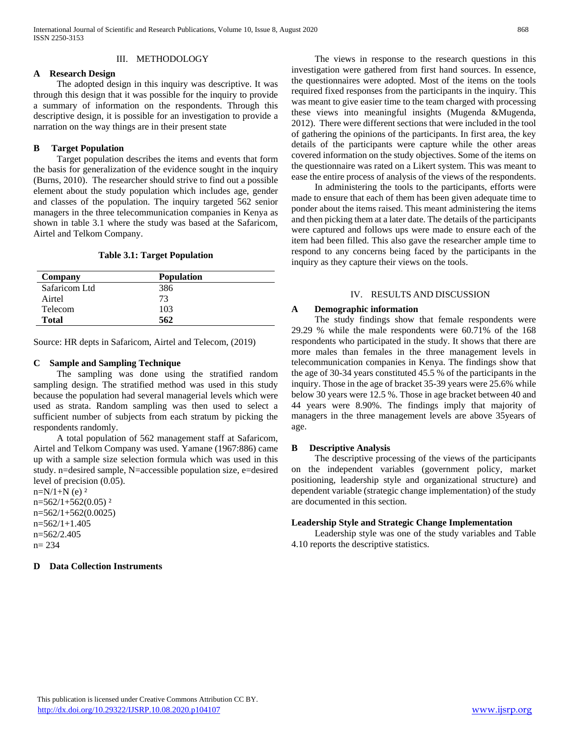## III. METHODOLOGY

## **A Research Design**

 The adopted design in this inquiry was descriptive. It was through this design that it was possible for the inquiry to provide a summary of information on the respondents. Through this descriptive design, it is possible for an investigation to provide a narration on the way things are in their present state

# **B Target Population**

 Target population describes the items and events that form the basis for generalization of the evidence sought in the inquiry (Burns, 2010). The researcher should strive to find out a possible element about the study population which includes age, gender and classes of the population. The inquiry targeted 562 senior managers in the three telecommunication companies in Kenya as shown in table 3.1 where the study was based at the Safaricom, Airtel and Telkom Company.

#### **Table 3.1: Target Population**

| Company       | <b>Population</b> |  |
|---------------|-------------------|--|
| Safaricom Ltd | 386               |  |
| Airtel        | 73                |  |
| Telecom       | 103               |  |
| <b>Total</b>  | 562               |  |

Source: HR depts in Safaricom, Airtel and Telecom, (2019)

#### **C Sample and Sampling Technique**

 The sampling was done using the stratified random sampling design. The stratified method was used in this study because the population had several managerial levels which were used as strata. Random sampling was then used to select a sufficient number of subjects from each stratum by picking the respondents randomly.

 A total population of 562 management staff at Safaricom, Airtel and Telkom Company was used. Yamane (1967:886) came up with a sample size selection formula which was used in this study. n=desired sample, N=accessible population size, e=desired level of precision (0.05).

 $n=N/1+N$  (e)  $2$  $n=562/1+562(0.05)^2$  $n=562/1+562(0.0025)$ n=562/1+1.405 n=562/2.405 n= 234

**D Data Collection Instruments**

 The views in response to the research questions in this investigation were gathered from first hand sources. In essence, the questionnaires were adopted. Most of the items on the tools required fixed responses from the participants in the inquiry. This was meant to give easier time to the team charged with processing these views into meaningful insights (Mugenda &Mugenda, 2012). There were different sections that were included in the tool of gathering the opinions of the participants. In first area, the key details of the participants were capture while the other areas covered information on the study objectives. Some of the items on the questionnaire was rated on a Likert system. This was meant to ease the entire process of analysis of the views of the respondents.

 In administering the tools to the participants, efforts were made to ensure that each of them has been given adequate time to ponder about the items raised. This meant administering the items and then picking them at a later date. The details of the participants were captured and follows ups were made to ensure each of the item had been filled. This also gave the researcher ample time to respond to any concerns being faced by the participants in the inquiry as they capture their views on the tools.

### IV. RESULTS AND DISCUSSION

## **A Demographic information**

 The study findings show that female respondents were 29.29 % while the male respondents were 60.71% of the 168 respondents who participated in the study. It shows that there are more males than females in the three management levels in telecommunication companies in Kenya. The findings show that the age of 30-34 years constituted 45.5 % of the participants in the inquiry. Those in the age of bracket 35-39 years were 25.6% while below 30 years were 12.5 %. Those in age bracket between 40 and 44 years were 8.90%. The findings imply that majority of managers in the three management levels are above 35years of age.

### **B Descriptive Analysis**

 The descriptive processing of the views of the participants on the independent variables (government policy, market positioning, leadership style and organizational structure) and dependent variable (strategic change implementation) of the study are documented in this section.

### **Leadership Style and Strategic Change Implementation**

 Leadership style was one of the study variables and Table 4.10 reports the descriptive statistics.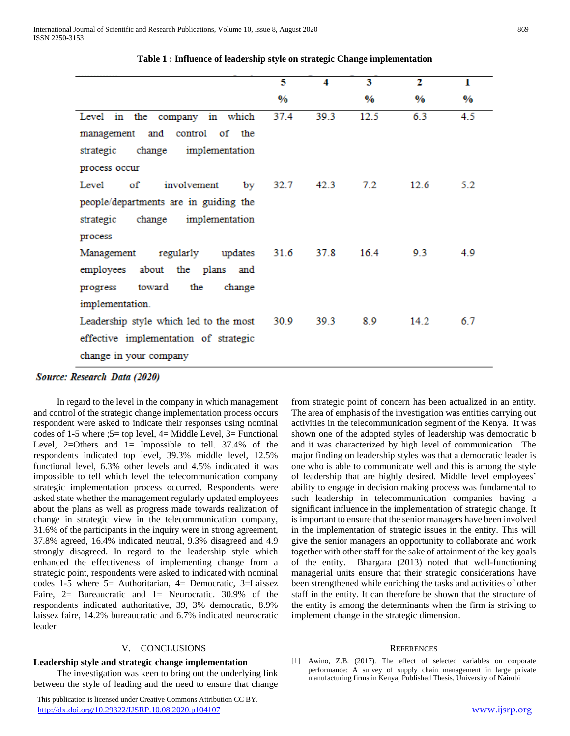|                                             | 5    | 4    | 3             | 2             | ı             |
|---------------------------------------------|------|------|---------------|---------------|---------------|
|                                             | $\%$ |      | $\frac{9}{6}$ | $\frac{0}{0}$ | $\frac{0}{0}$ |
| Level in the company in which               | 37.4 | 39.3 | 12.5          | 6.3           | 4.5           |
| management and control of the               |      |      |               |               |               |
| strategic change implementation             |      |      |               |               |               |
| process occur                               |      |      |               |               |               |
| of<br>involvement by $32.7$ 42.3<br>Level   |      |      | 7.2           | 12.6          | 5.2           |
| people/departments are in guiding the       |      |      |               |               |               |
| strategic change implementation             |      |      |               |               |               |
| process                                     |      |      |               |               |               |
| Management regularly updates 31.6 37.8      |      |      | 16.4          | 9.3           | 4.9           |
| employees about the plans and               |      |      |               |               |               |
| toward the<br>change<br>progress            |      |      |               |               |               |
| implementation.                             |      |      |               |               |               |
| Leadership style which led to the most 30.9 |      | 39.3 | 8.9           | 14.2          | 6.7           |
| effective implementation of strategic       |      |      |               |               |               |
| change in your company                      |      |      |               |               |               |

**Table 1 : Influence of leadership style on strategic Change implementation**

Source: Research Data (2020)

 In regard to the level in the company in which management and control of the strategic change implementation process occurs respondent were asked to indicate their responses using nominal codes of 1-5 where ;5= top level,  $4=$  Middle Level,  $3=$  Functional Level,  $2=O$  thers and  $1=$  Impossible to tell. 37.4% of the respondents indicated top level, 39.3% middle level, 12.5% functional level, 6.3% other levels and 4.5% indicated it was impossible to tell which level the telecommunication company strategic implementation process occurred. Respondents were asked state whether the management regularly updated employees about the plans as well as progress made towards realization of change in strategic view in the telecommunication company, 31.6% of the participants in the inquiry were in strong agreement, 37.8% agreed, 16.4% indicated neutral, 9.3% disagreed and 4.9 strongly disagreed. In regard to the leadership style which enhanced the effectiveness of implementing change from a strategic point, respondents were asked to indicated with nominal codes 1-5 where 5= Authoritarian, 4= Democratic, 3=Laissez Faire, 2= Bureaucratic and 1= Neurocratic. 30.9% of the respondents indicated authoritative, 39, 3% democratic, 8.9% laissez faire, 14.2% bureaucratic and 6.7% indicated neurocratic leader

#### V. CONCLUSIONS

#### **Leadership style and strategic change implementation**

 The investigation was keen to bring out the underlying link between the style of leading and the need to ensure that change

 This publication is licensed under Creative Commons Attribution CC BY. <http://dx.doi.org/10.29322/IJSRP.10.08.2020.p104107> [www.ijsrp.org](http://ijsrp.org/)

from strategic point of concern has been actualized in an entity. The area of emphasis of the investigation was entities carrying out activities in the telecommunication segment of the Kenya. It was shown one of the adopted styles of leadership was democratic b and it was characterized by high level of communication. The major finding on leadership styles was that a democratic leader is one who is able to communicate well and this is among the style of leadership that are highly desired. Middle level employees' ability to engage in decision making process was fundamental to such leadership in telecommunication companies having a significant influence in the implementation of strategic change. It is important to ensure that the senior managers have been involved in the implementation of strategic issues in the entity. This will give the senior managers an opportunity to collaborate and work together with other staff for the sake of attainment of the key goals of the entity. Bhargara (2013) noted that well-functioning managerial units ensure that their strategic considerations have been strengthened while enriching the tasks and activities of other staff in the entity. It can therefore be shown that the structure of the entity is among the determinants when the firm is striving to implement change in the strategic dimension.

#### **REFERENCES**

[1] Awino, Z.B. (2017). The effect of selected variables on corporate performance: A survey of supply chain management in large private manufacturing firms in Kenya, Published Thesis, University of Nairobi